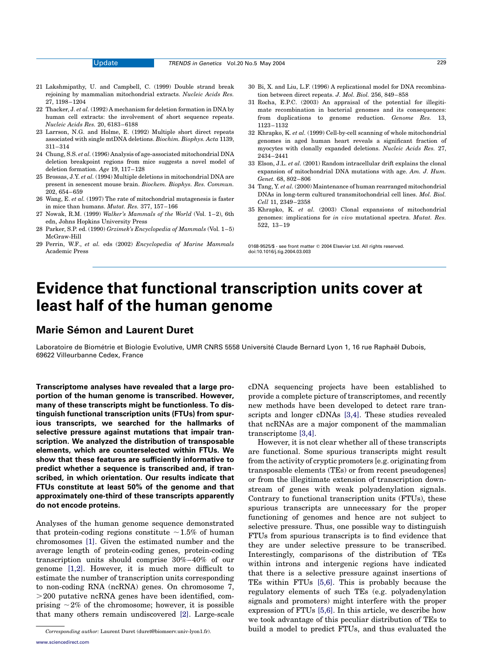- 21 Lakshmipathy, U. and Campbell, C. (1999) Double strand break rejoining by mammalian mitochondrial extracts. Nucleic Acids Res. 27, 1198–1204
- 22 Thacker, J. et al. (1992) A mechanism for deletion formation in DNA by human cell extracts: the involvement of short sequence repeats. Nucleic Acids Res. 20, 6183–6188
- 23 Larrson, N.G. and Holme, E. (1992) Multiple short direct repeats associated with single mtDNA deletions. Biochim. Biophys. Acta 1139, 311–314
- 24 Chung, S.S. et al. (1996) Analysis of age-associated mitochondrial DNA deletion breakpoint regions from mice suggests a novel model of deletion formation. Age 19, 117–128
- 25 Brossas, J.Y. et al. (1994) Multiple deletions in mitochondrial DNA are present in senescent mouse brain. Biochem. Biophys. Res. Commun. 202, 654–659
- 26 Wang, E. et al. (1997) The rate of mitochondrial mutagenesis is faster in mice than humans. Mutat. Res. 377, 157–166
- 27 Nowak, R.M. (1999) Walker's Mammals of the World (Vol. 1–2), 6th edn, Johns Hopkins University Press
- 28 Parker, S.P. ed. (1990) Grzimek's Encyclopedia of Mammals (Vol. 1–5) McGraw-Hill
- 29 Perrin, W.F., et al. eds (2002) Encyclopedia of Marine Mammals Academic Press
- 30 Bi, X. and Liu, L.F. (1996) A replicational model for DNA recombination between direct repeats. J. Mol. Biol. 256, 849–858
- 31 Rocha, E.P.C. (2003) An appraisal of the potential for illegitimate recombination in bacterial genomes and its consequences: from duplications to genome reduction. Genome Res. 13, 1123–1132
- 32 Khrapko, K. et al. (1999) Cell-by-cell scanning of whole mitochondrial genomes in aged human heart reveals a significant fraction of myocytes with clonally expanded deletions. Nucleic Acids Res. 27, 2434–2441
- 33 Elson, J.L. et al. (2001) Random intracellular drift explains the clonal expansion of mitochondrial DNA mutations with age. Am. J. Hum. Genet. 68, 802–806
- 34 Tang, Y. et al. (2000) Maintenance of human rearranged mitochondrial DNAs in long-term cultured transmitochondrial cell lines. Mol. Biol. Cell 11, 2349–2358
- 35 Khrapko, K. et al. (2003) Clonal expansions of mitochondrial genomes: implications for in vivo mutational spectra. Mutat. Res. 522, 13–19

0168-9525/\$ - see front matter q 2004 Elsevier Ltd. All rights reserved. doi:10.1016/j.tig.2004.03.003

## Evidence that functional transcription units cover at least half of the human genome

### **Marie Sémon and Laurent Duret**

Laboratoire de Biométrie et Biologie Evolutive, UMR CNRS 5558 Université Claude Bernard Lyon 1, 16 rue Raphaël Dubois, 69622 Villeurbanne Cedex, France

Transcriptome analyses have revealed that a large proportion of the human genome is transcribed. However, many of these transcripts might be functionless. To distinguish functional transcription units (FTUs) from spurious transcripts, we searched for the hallmarks of selective pressure against mutations that impair transcription. We analyzed the distribution of transposable elements, which are counterselected within FTUs. We show that these features are sufficiently informative to predict whether a sequence is transcribed and, if transcribed, in which orientation. Our results indicate that FTUs constitute at least 50% of the genome and that approximately one-third of these transcripts apparently do not encode proteins.

Analyses of the human genome sequence demonstrated that protein-coding regions constitute  $\sim$  1.5% of human chromosomes [\[1\]](#page-3-0). Given the estimated number and the average length of protein-coding genes, protein-coding transcription units should comprise 30%–40% of our genome [\[1,2\]](#page-3-0). However, it is much more difficult to estimate the number of transcription units corresponding to non-coding RNA (ncRNA) genes. On chromosome 7,  $>$ 200 putative ncRNA genes have been identified, comprising  $\sim$  2% of the chromosome; however, it is possible that many others remain undiscovered [\[2\]](#page-3-0). Large-scale cDNA sequencing projects have been established to provide a complete picture of transcriptomes, and recently new methods have been developed to detect rare transcripts and longer cDNAs [\[3,4\].](#page-3-0) These studies revealed that ncRNAs are a major component of the mammalian transcriptome [\[3,4\].](#page-3-0)

However, it is not clear whether all of these transcripts are functional. Some spurious transcripts might result from the activity of cryptic promoters [e.g. originating from transposable elements (TEs) or from recent pseudogenes] or from the illegitimate extension of transcription downstream of genes with weak polyadenylation signals. Contrary to functional transcription units (FTUs), these spurious transcripts are unnecessary for the proper functioning of genomes and hence are not subject to selective pressure. Thus, one possible way to distinguish FTUs from spurious transcripts is to find evidence that they are under selective pressure to be transcribed. Interestingly, comparisons of the distribution of TEs within introns and intergenic regions have indicated that there is a selective pressure against insertions of TEs within FTUs [\[5,6\].](#page-3-0) This is probably because the regulatory elements of such TEs (e.g. polyadenylation signals and promoters) might interfere with the proper expression of FTUs [\[5,6\]](#page-3-0). In this article, we describe how we took advantage of this peculiar distribution of TEs to  $\overline{Corresponding\ author}$ : Laurent Duret (duret@biomserv.univ-lyon1.fr). build a model to predict FTUs, and thus evaluated the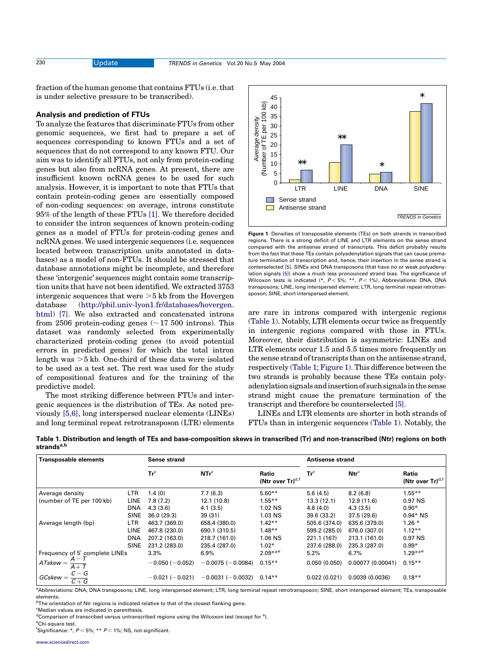<span id="page-1-0"></span>

fraction of the human genome that contains FTUs (i.e. that is under selective pressure to be transcribed).

#### Analysis and prediction of FTUs

To analyze the features that discriminate FTUs from other genomic sequences, we first had to prepare a set of sequences corresponding to known FTUs and a set of sequences that do not correspond to any known FTU. Our aim was to identify all FTUs, not only from protein-coding genes but also from ncRNA genes. At present, there are insufficient known ncRNA genes to be used for such analysis. However, it is important to note that FTUs that contain protein-coding genes are essentially composed of non-coding sequences: on average, introns constitute 95% of the length of these FTUs [\[1\].](#page-3-0) We therefore decided to consider the intron sequences of known protein-coding genes as a model of FTUs for protein-coding genes and ncRNA genes. We used intergenic sequences (i.e. sequences located between transcription units annotated in databases) as a model of non-FTUs. It should be stressed that database annotations might be incomplete, and therefore these 'intergenic' sequences might contain some transcription units that have not been identified. We extracted 3753 intergenic sequences that were  $>5$  kb from the Hovergen database ([http://pbil.univ-lyon1.fr/databases/hovergen.](http://pbil.univ-lyon1.fr/databases/hovergen.html) [html\)](http://pbil.univ-lyon1.fr/databases/hovergen.html) [\[7\]](#page-3-0). We also extracted and concatenated introns from 2506 protein-coding genes  $(\sim 17\; 500\; \text{introns})$ . This dataset was randomly selected from experimentally characterized protein-coding genes (to avoid potential errors in predicted genes) for which the total intron length was  $>5$  kb. One-third of these data were isolated to be used as a test set. The rest was used for the study of compositional features and for the training of the predictive model.

The most striking difference between FTUs and intergenic sequences is the distribution of TEs. As noted previously [\[5,6\]](#page-3-0), long interspersed nuclear elements (LINEs) and long terminal repeat retrotransposon (LTR) elements



Figure 1. Densities of transposable elements (TEs) on both strands in transcribed regions. There is a strong deficit of LINE and LTR elements on the sense strand compared with the antisense strand of transcripts. This deficit probably results from the fact that these TEs contain polyadenylation signals that can cause premature termination of transcription and, hence, their insertion in the sense strand is conterselected [\[5\]](#page-3-0). SINEs and DNA transposons (that have no or weak polyadenylation signals [\[5\]](#page-3-0)) show a much less pronounced strand bias. The significance of Wilcoxon tests is indicated (\*,  $P < 5\%$ ; \*\*,  $P < 1\%$ ). Abbreviations: DNA, DNA transposons; LINE, long interspersed element; LTR, long terminal repeat retrotransposon; SINE, short interspersed element.

are rare in introns compared with intergenic regions (Table 1). Notably, LTR elements occur twice as frequently in intergenic regions compared with those in FTUs. Moreover, their distribution is asymmetric: LINEs and LTR elements occur 1.5 and 5.5 times more frequently on the sense strand of transcripts than on the antisense strand, respectively (Table 1; Figure 1). This difference between the two strands is probably because these TEs contain polyadenylationsignalsandinsertionofsuchsignalsinthesense strand might cause the premature termination of the transcript and therefore be counterselected [\[5\]](#page-3-0).

LINEs and LTR elements are shorter in both strands of FTUs than in intergenic sequences (Table 1). Notably, the

Table 1. Distribution and length of TEs and base-composition skews in transcribed (Tr) and non-transcribed (Ntr) regions on both strands $a,b$ 

| <b>Transposable elements</b>               |             | <b>Sense strand</b>   |                         |                                       | <b>Antisense strand</b> |                   |                                                 |
|--------------------------------------------|-------------|-----------------------|-------------------------|---------------------------------------|-------------------------|-------------------|-------------------------------------------------|
|                                            |             | $Tr^c$                | NTr <sup>c</sup>        | Ratio<br>(Ntr over Tr) <sup>d,f</sup> | $Tr^c$                  | Ntr <sup>c</sup>  | Ratio<br>(Ntr over $\text{Tr}$ ) <sup>d,f</sup> |
| Average density                            | <b>LTR</b>  | 1.4(0)                | 7.7(6.3)                | $5.60**$                              | 5.6(4.5)                | 8.2(6.8)          | $1.55***$                                       |
| (number of TE per 100 kb)                  | LINE        | 7.8(7.2)              | 12.1 (10.8)             | $1.55***$                             | 13.3(12.1)              | 12.9 (11.6)       | 0.97 NS                                         |
|                                            | <b>DNA</b>  | 4.3(3.6)              | 4.1(3.5)                | 1.02 NS                               | 4.8(4.0)                | 4.3(3.5)          | $0.90*$                                         |
|                                            | <b>SINE</b> | 36.0(29.3)            | 39(31)                  | 1.03 NS                               | 39.6 (33.2)             | 37.5(29.6)        | $0.94*$ NS                                      |
| Average length (bp)                        | LTR         | 463.7 (369.0)         | 658.4 (380.0)           | $1.42**$                              | 505.6 (374.0)           | 635.6 (379.0)     | $1.26*$                                         |
|                                            | <b>LINE</b> | 467.8 (230.0)         | 690.1 (310.5)           | $1.48**$                              | 599.2 (285.0)           | 676.0 (307.0)     | $1.12**$                                        |
|                                            | <b>DNA</b>  | 207.2 (163.0)         | 218.7 (161.0)           | 1.06 NS                               | 221.1 (167)             | 213.1 (161.0)     | 0.97 NS                                         |
|                                            | <b>SINE</b> | 231.2 (283.0)         | 235.4 (287.0)           | $1.02*$                               | 237.6 (288.0)           | 235.3 (287.0)     | $0.99*$                                         |
| Frequency of 5' complete LINEs             |             | $3.3\%$               | 6.9%                    | $2.09***$ <sup>e</sup>                | 5.2%                    | 6.7%              | $1.29***$ <sup>e</sup>                          |
| $A - T$<br>$ATskew =$<br>$\overline{A+T}$  |             | $-0.050$ ( $-0.052$ ) | $-0.0075(-0.0084)$      | $0.15***$                             | 0.050(0.050)            | 0.00077 (0.00041) | $0.15***$                                       |
| $C-G$<br>$GC$ skew $=$<br>$\overline{C+G}$ |             | $-0.021(-0.021)$      | $-0.0031$ ( $-0.0032$ ) | $0.14**$                              | 0.022(0.021)            | 0.0039(0.0036)    | $0.18**$                                        |

a Abbreviations: DNA, DNA transposons; LINE, long interspersed element; LTR, long terminal repeat retrotransposon; SINE, short interspersed element; TEs, transposable elements.

<sup>b</sup>The orientation of Ntr regions is indicated relative to that of the closest flanking gene.

<sup>c</sup>Median values are indicated in parenthesis.

<sup>d</sup>Comparison of transcribed versus untranscribed regions using the Wilcoxon test (except for <sup>e</sup>).

<sup>e</sup>Chi-square test.

<sup>f</sup>Significance: \*,  $P$  < 5%; \*\*  $P$  < 1%; NS, not significant.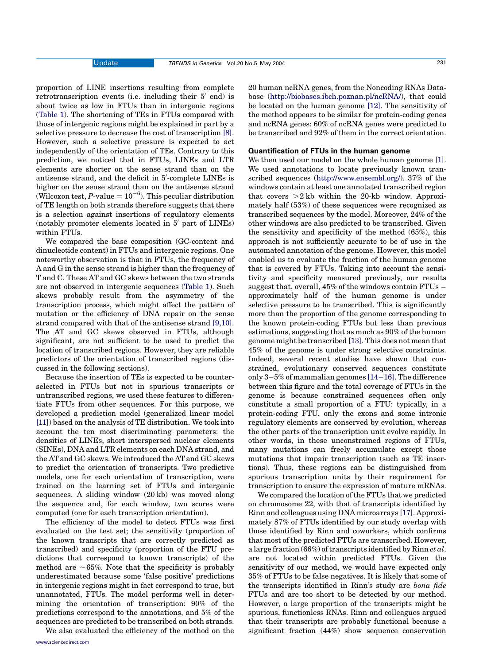proportion of LINE insertions resulting from complete retrotranscription events (i.e. including their  $5'$  end) is about twice as low in FTUs than in intergenic regions ([Table 1](#page-1-0)). The shortening of TEs in FTUs compared with those of intergenic regions might be explained in part by a selective pressure to decrease the cost of transcription [\[8\]](#page-3-0). However, such a selective pressure is expected to act independently of the orientation of TEs. Contrary to this prediction, we noticed that in FTUs, LINEs and LTR elements are shorter on the sense strand than on the antisense strand, and the deficit in 5'-complete LINEs is higher on the sense strand than on the antisense strand (Wilcoxon test, P-value =  $10^{-6}$ ). This peculiar distribution of TE length on both strands therefore suggests that there is a selection against insertions of regulatory elements (notably promoter elements located in  $5'$  part of LINEs) within FTUs.

We compared the base composition (GC-content and dinucleotide content) in FTUs and intergenic regions. One noteworthy observation is that in FTUs, the frequency of A and G in the sense strand is higher than the frequency of T and C. These AT and GC skews between the two strands are not observed in intergenic sequences [\(Table 1\)](#page-1-0). Such skews probably result from the asymmetry of the transcription process, which might affect the pattern of mutation or the efficiency of DNA repair on the sense strand compared with that of the antisense strand [\[9,10\]](#page-3-0). The AT and GC skews observed in FTUs, although significant, are not sufficient to be used to predict the location of transcribed regions. However, they are reliable predictors of the orientation of transcribed regions (discussed in the following sections).

Because the insertion of TEs is expected to be counterselected in FTUs but not in spurious transcripts or untranscribed regions, we used these features to differentiate FTUs from other sequences. For this purpose, we developed a prediction model (generalized linear model [\[11\]](#page-3-0)) based on the analysis of TE distribution. We took into account the ten most discriminating parameters: the densities of LINEs, short interspersed nuclear elements (SINEs), DNA and LTR elements on each DNA strand, and the AT and GC skews. We introduced the AT and GC skews to predict the orientation of transcripts. Two predictive models, one for each orientation of transcription, were trained on the learning set of FTUs and intergenic sequences. A sliding window (20 kb) was moved along the sequence and, for each window, two scores were computed (one for each transcription orientation).

The efficiency of the model to detect FTUs was first evaluated on the test set; the sensitivity (proportion of the known transcripts that are correctly predicted as transcribed) and specificity (proportion of the FTU predictions that correspond to known transcripts) of the method are  $\sim65\%$ . Note that the specificity is probably underestimated because some 'false positive' predictions in intergenic regions might in fact correspond to true, but unannotated, FTUs. The model performs well in determining the orientation of transcription: 90% of the predictions correspond to the annotations, and 5% of the sequences are predicted to be transcribed on both strands.

We also evaluated the efficiency of the method on the

20 human ncRNA genes, from the Noncoding RNAs Database [\(http://biobases.ibch.poznan.pl/ncRNA/\)](http://biobases.ibch.poznan.pl/ncRNA/), that could be located on the human genome [\[12\].](#page-3-0) The sensitivity of the method appears to be similar for protein-coding genes and ncRNA genes: 60% of ncRNA genes were predicted to be transcribed and 92% of them in the correct orientation.

### Quantification of FTUs in the human genome

We then used our model on the whole human genome [\[1\]](#page-3-0). We used annotations to locate previously known transcribed sequences [\(http://www.ensembl.org/](http://www.ensembl.org/)). 37% of the windows contain at least one annotated transcribed region that covers  $>2$  kb within the 20-kb window. Approximately half (53%) of these sequences were recognized as transcribed sequences by the model. Moreover, 24% of the other windows are also predicted to be transcribed. Given the sensitivity and specificity of the method (65%), this approach is not sufficiently accurate to be of use in the automated annotation of the genome. However, this model enabled us to evaluate the fraction of the human genome that is covered by FTUs. Taking into account the sensitivity and specificity measured previously, our results suggest that, overall, 45% of the windows contain FTUs – approximately half of the human genome is under selective pressure to be transcribed. This is significantly more than the proportion of the genome corresponding to the known protein-coding FTUs but less than previous estimations, suggesting that as much as 90% of the human genome might be transcribed [\[13\].](#page-3-0) This does not mean that 45% of the genome is under strong selective constraints. Indeed, several recent studies have shown that constrained, evolutionary conserved sequences constitute only 3–5% of mammalian genomes [\[14–16\]](#page-3-0). The difference between this figure and the total coverage of FTUs in the genome is because constrained sequences often only constitute a small proportion of a FTU: typically, in a protein-coding FTU, only the exons and some intronic regulatory elements are conserved by evolution, whereas the other parts of the transcription unit evolve rapidly. In other words, in these unconstrained regions of FTUs, many mutations can freely accumulate except those mutations that impair transcription (such as TE insertions). Thus, these regions can be distinguished from spurious transcription units by their requirement for transcription to ensure the expression of mature mRNAs.

We compared the location of the FTUs that we predicted on chromosome 22, with that of transcripts identified by Rinn and colleagues using DNA microarrays [\[17\].](#page-3-0) Approximately 87% of FTUs identified by our study overlap with those identified by Rinn and coworkers, which confirms that most of the predicted FTUs are transcribed. However, a large fraction  $(66%)$  of transcripts identified by Rinn *et al.* are not located within predicted FTUs. Given the sensitivity of our method, we would have expected only 35% of FTUs to be false negatives. It is likely that some of the transcripts identified in Rinn's study are bona fide FTUs and are too short to be detected by our method. However, a large proportion of the transcripts might be spurious, functionless RNAs. Rinn and colleagues argued that their transcripts are probably functional because a significant fraction (44%) show sequence conservation